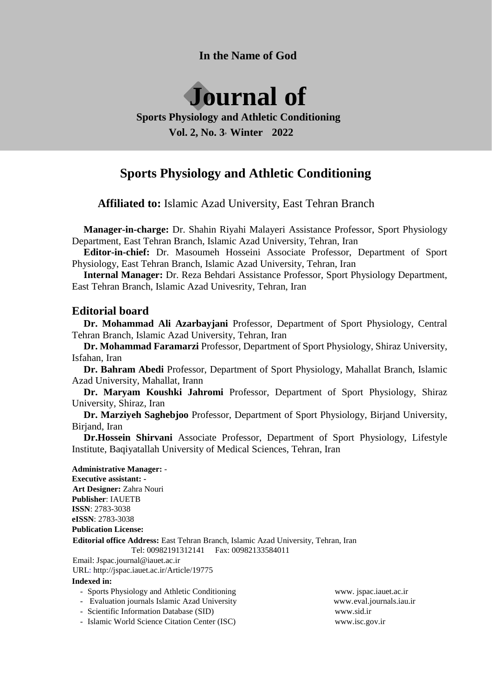**In the Name of God**



## **Sports Physiology and Athletic Conditioning Vol. 2, No. 3**, **Winter 2022**

# **Sports Physiology and Athletic Conditioning**

**Affiliated to:** Islamic Azad University, East Tehran Branch

**Manager-in-charge:** Dr. Shahin Riyahi Malayeri Assistance Professor, Sport Physiology Department, East Tehran Branch, Islamic Azad University, Tehran, Iran

**Editor-in-chief:** Dr. Masoumeh Hosseini Associate Professor, Department of Sport Physiology, East Tehran Branch, Islamic Azad University, Tehran, Iran

**Internal Manager:** Dr. Reza Behdari Assistance Professor, Sport Physiology Department, East Tehran Branch, Islamic Azad Univesrity, Tehran, Iran

### **Editorial board**

**Dr. Mohammad Ali Azarbayjani** Professor, Department of Sport Physiology, Central Tehran Branch, Islamic Azad University, Tehran, Iran

**Dr. Mohammad Faramarzi** Professor, Department of Sport Physiology, Shiraz University, Isfahan, Iran

**Dr. Bahram Abedi** Professor, Department of Sport Physiology, Mahallat Branch, Islamic Azad University, Mahallat, Irann

**Dr. Maryam Koushki Jahromi** Professor, Department of Sport Physiology, Shiraz University, Shiraz, Iran

**Dr. Marziyeh Saghebjoo** Professor, Department of Sport Physiology, Birjand University, Birjand, Iran

**Dr.Hossein Shirvani** Associate Professor, Department of Sport Physiology, Lifestyle Institute, Baqiyatallah University of Medical Sciences, Tehran, Iran

**Administrative Manager:** - **Executive assistant: - Art Designer:** Zahra Nouri **Publisher**: IAUETB **ISSN**: 2783-3038 **eISSN**: 2783-3038 **Publication License: Editorial office Address:** East Tehran Branch, Islamic Azad University, Tehran, Iran Tel: 00982191312141 Fax: 00982133584011 Email: Jspac.journal@iauet.ac.ir

URL: http://jspac.iauet.ac.ir/Article/19775

#### **Indexed in:**

- Sports Physiology and Athletic Conditioning www. jspac.iauet.ac.ir
- Evaluation journals Islamic Azad University www.eval.journals.iau.ir
- Scientific Information Database (SID) www.sid.ir
- Islamic World Science Citation Center (ISC) www.isc.gov.ir
-